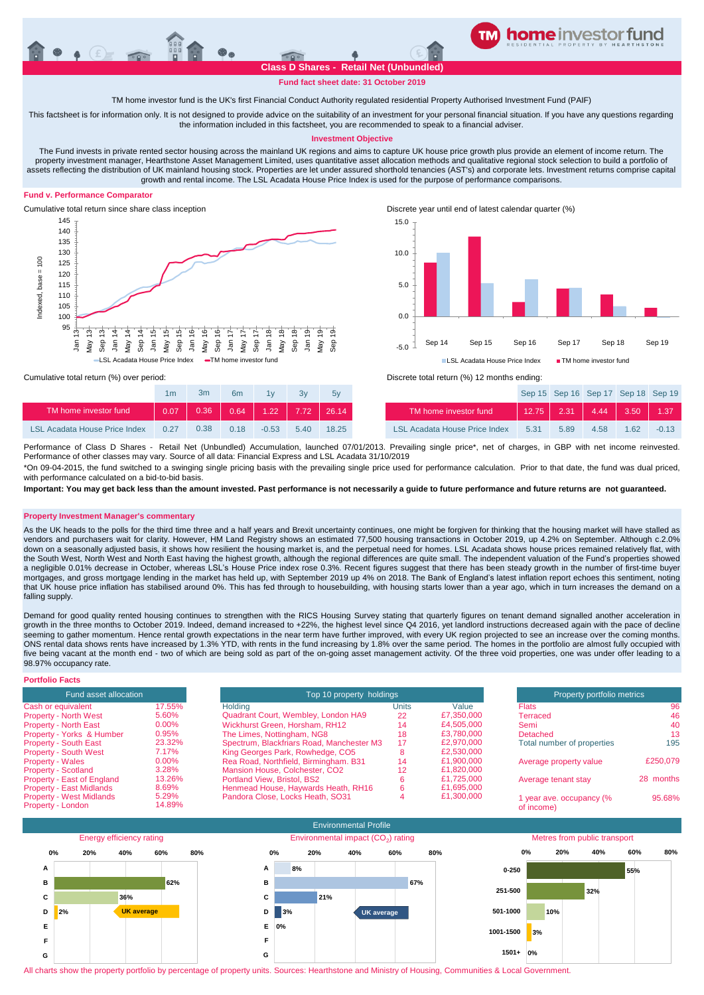

**Fund fact sheet date: 31 October 2019**

TM home investor fund is the UK's first Financial Conduct Authority regulated residential Property Authorised Investment Fund (PAIF)

This factsheet is for information only. It is not designed to provide advice on the suitability of an investment for your personal financial situation. If you have any questions regarding the information included in this factsheet, you are recommended to speak to a financial adviser.

# **Investment Objective**

The Fund invests in private rented sector housing across the mainland UK regions and aims to capture UK house price growth plus provide an element of income return. The property investment manager, Hearthstone Asset Management Limited, uses quantitative asset allocation methods and qualitative regional stock selection to build a portfolio of assets reflecting the distribution of UK mainland housing stock. Properties are let under assured shorthold tenancies (AST's) and corporate lets. Investment returns comprise capital growth and rental income. The LSL Acadata House Price Index is used for the purpose of performance comparisons.

# **Fund v. Performance Comparator**





Cumulative total return since share class inception Discrete year until end of latest calendar quarter (%)



|                               | 1 <sub>m</sub> | Зm   | 6 <sub>m</sub> | 1v      | 3v   | 5v    |                                      |
|-------------------------------|----------------|------|----------------|---------|------|-------|--------------------------------------|
| TM home investor fund         | 0.07           | 0.36 | 0.64           | $-1.22$ | 7.72 | 26.14 | TM home investor fund                |
| LSL Acadata House Price Index | 0.27           | 0.38 | 0.18           | $-0.53$ | 540  | 18.25 | <b>LSL Acadata House Price Index</b> |

Cumulative total return (%) over period: Discrete total return (%) 12 months ending:

| 1 <sub>m</sub> | 3m   | 6 <sub>m</sub> | 1v                                  | 3v   | 5v    |                               |      |      | Sep 15 Sep 16 Sep 17 Sep 18 Sep 19 |      |         |
|----------------|------|----------------|-------------------------------------|------|-------|-------------------------------|------|------|------------------------------------|------|---------|
| 0.07           |      |                | $0.36$ $0.64$ $1.22$ $7.72$ $26.14$ |      |       | TM home investor fund         |      |      | $12.75$ 2.31 4.44 3.50 1.37        |      |         |
| 0.27           | 0.38 | 0.18           | $-0.53$                             | 5.40 | 18.25 | LSL Acadata House Price Index | 5.31 | 5.89 | 4.58                               | 1.62 | $-0.13$ |

\*On 09-04-2015, the fund switched to a swinging single pricing basis with the prevailing single price used for performance calculation. Prior to that date, the fund was dual priced, Performance of Class D Shares - Retail Net (Unbundled) Accumulation, launched 07/01/2013. Prevailing single price\*, net of charges, in GBP with net income reinvested. Performance of other classes may vary. Source of all data: Financial Express and LSL Acadata 31/10/2019

with performance calculated on a bid-to-bid basis

**Important: You may get back less than the amount invested. Past performance is not necessarily a guide to future performance and future returns are not guaranteed.** 

# **Property Investment Manager's commentary**

As the UK heads to the polls for the third time three and a half years and Brexit uncertainty continues, one might be forgiven for thinking that the housing market will have stalled as vendors and purchasers wait for clarity. However, HM Land Registry shows an estimated 77,500 housing transactions in October 2019, up 4.2% on September. Although c.2.0% down on a seasonally adjusted basis, it shows how resilient the housing market is, and the perpetual need for homes. LSL Acadata shows house prices remained relatively flat, with the South West, North West and North East having the highest growth, although the regional differences are quite small. The independent valuation of the Fund's properties showed a negligible 0.01% decrease in October, whereas LSL's House Price index rose 0.3%. Recent figures suggest that there has been steady growth in the number of first-time buyer mortgages, and gross mortgage lending in the market has held up, with September 2019 up 4% on 2018. The Bank of England's latest inflation report echoes this sentiment, noting that UK house price inflation has stabilised around 0%. This has fed through to housebuilding, with housing starts lower than a year ago, which in turn increases the demand on a falling supply.

Demand for good quality rented housing continues to strengthen with the RICS Housing Survey stating that quarterly figures on tenant demand signalled another acceleration in growth in the three months to October 2019. Indeed, demand increased to +22%, the highest level since Q4 2016, yet landlord instructions decreased again with the pace of decline seeming to gather momentum. Hence rental growth expectations in the near term have further improved, with every UK region projected to see an increase over the coming months. ONS rental data shows rents have increased by 1.3% YTD, with rents in the fund increasing by 1.8% over the same period. The homes in the portfolio are almost fully occupied with five being vacant at the month end - two of which are being sold as part of the on-going asset management activity. Of the three void properties, one was under offer leading to a 98.97% occupancy rate.

| <b>Portfolio Facts</b>                               |                 |                                           |                          |            |                                        |           |  |
|------------------------------------------------------|-----------------|-------------------------------------------|--------------------------|------------|----------------------------------------|-----------|--|
| Fund asset allocation                                |                 |                                           | Top 10 property holdings |            |                                        |           |  |
| Cash or equivalent                                   | 17.55%          | Holding                                   | Units                    | Value      | <b>Flats</b>                           | 96        |  |
| <b>Property - North West</b>                         | 5.60%           | Quadrant Court, Wembley, London HA9       | 22                       | £7,350,000 | Terraced                               | 46        |  |
| <b>Property - North East</b>                         | $0.00\%$        | Wickhurst Green, Horsham, RH12            | 14                       | £4,505,000 | Semi                                   | 40        |  |
| Property - Yorks & Humber                            | 0.95%           | The Limes, Nottingham, NG8                | 18                       | £3.780,000 | Detached                               | 13        |  |
| <b>Property - South East</b>                         | 23.32%          | Spectrum, Blackfriars Road, Manchester M3 | 17                       | £2.970.000 | Total number of properties             | 195       |  |
| <b>Property - South West</b>                         | 7.17%           | King Georges Park, Rowhedge, CO5          | o                        | £2,530,000 |                                        |           |  |
| <b>Property - Wales</b>                              | $0.00\%$        | Rea Road, Northfield, Birmingham. B31     | 14                       | £1.900.000 | Average property value                 | £250.079  |  |
| <b>Property - Scotland</b>                           | 3.28%           | Mansion House, Colchester, CO2            | 12                       | £1,820,000 |                                        |           |  |
| Property - East of England                           | 13.26%          | <b>Portland View, Bristol, BS2</b>        |                          | £1.725.000 | Average tenant stay                    | 28 months |  |
| <b>Property - East Midlands</b>                      | 8.69%           | Henmead House, Haywards Heath, RH16       |                          | £1.695.000 |                                        |           |  |
| <b>Property - West Midlands</b><br>Property - London | 5.29%<br>14.89% | Pandora Close, Locks Heath, SO31          |                          | £1.300.000 | 1 year ave. occupancy (%<br>of income) | 95.68%    |  |



All charts show the property portfolio by percentage of property units. Sources: Hearthstone and Ministry of Housing, Communities & Local Government.